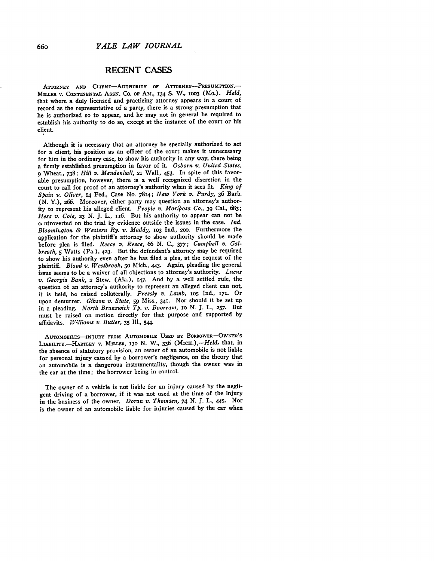## **RECENT CASES**

ATTORNEY **AND** CLIENT-AuTHORITY **OF ATTORNEY-PRESUMPTION.-** MILLER **V. CONTINENTAL** ASSN. Co. **OF AM., I34 S.** W., **I003** (Mo.). *Held,* that where a duly licensed and practicing attorney appears in a court of record as the representative of a party, there is a strong presumption that he is authorized so to appear, and he may not in general be required to establish his authority to do so, except at the instance of the court or his client.

Although it is necessary that an attorney be specially authorized to act for a client, his position as an officer of the court makes it unnecessary for him in the ordinary case, to show his authority in any way, there being a firmly established presumption in favor of it. *Osborn v. United States,* **9** Wheat., **738;** *Hill v. Mendenhall,* **21** Wall., 453. In spite of this favorable presumption, however, there is a well recognized discretion in the court to call for proof of an attorney's authority when it sees fit. *King of Spain v. Oliver,* **14** Fed., Case **No.** 7814; *New York v. Purdy,* **36** Barb. **(N.** Y.), **266.** Moreover, either party may question an attorney's authority to represent his alleged client. *People v. Mariposa Co.,* 39 Cal., **683;** *Hess v. Cole,* **23 N. J.** L., **116.** But his authority to appear can not be **c,** ntroverted on the trial **by** evidence outside the issues in the case. *Ind. Bloomington & Western Ry. v. Maddy,* **IO3** Ind., **20o.** Furthermore the application for the plaintiff's attorney to show authority should be made before plea is filed. *Reece v. Reece,* 66 **N.** *C., 377; Campbell v. Galbreath,* **5** Watts (Pa.), 423. But the defendant's attorney may be required to show his authority even after he has filed a plea, at the request of the plaintiff. *Blood v. Westbrook,* **5o** Mich., 443. Again, pleading the general issue seems to be a waiver of all objections to attorney's authority. *Lucus v. Georgia Bank,* **2** Stew. (Ala.), 147. And **by** a well settled rule, the question of an attorney's authority to represent an alleged client can not, it is held, be raised collaterally. *Pressly v. Lamb,* io5 Ind., **171.** Or upon demurrer. *Gibson v. State,* **59** Miss., 341. Nor should it be set up in a pleading. *North Brunswick Tp. v. Booream, 1O* **N.** J. L., **257.** But must be raised on motion directly for that purpose and supported by affidavits. *Williams v. Butler,* 35 Ill., 544.

**AuToMoBILEs-INJuRY** EROmi **AUTOMOBILE USED nY BORROWER-OWNER'S** LIABILITY.-HARTLEY V. MILLER, 130 N. W., 336 (MICH.),-Held, that, in the absence of statutory provision, an owner of an automobile is not liable for personal injury caused **by** a borrower's negligence, on the theory that an automobile is a dangerous instrumentality, though the owner was in the car at the time; the borrower being in control.

The owner of a vehicle is not liable for an injury caused **by** the negligent driving of a borrower, if it was not used at the time of the injury in the business of the owner. *Doran v. Thomsen, 74* **N. J.** L., 445. Nor is the owner of an automobile liable for injuries caused **by** the car when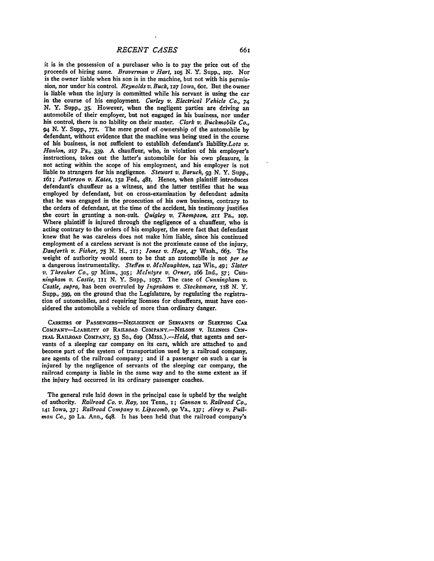it is in the possession of a purchaser who is to pay the price out of the proceeds of hiring same. *Braverman v Hart, ios* **N.** Y. Supp., io7. Nor is the owner liable when his son is in the machine, but not with his permission, nor under his control. *Reynolds v. Buck,* 127 Iowa, 6or. But the owner is liable when the injury is committed while his servant is using the car in the course of his employment. *Curley v. Electrical Vehicle Co., 74* **N.** Y. **Supp., 35.** However, when the negligent parties are driving an automobile of their employer, but not engaged in his business, nor under his control, there is no lability on their master. *Clark v. Buckmobile Co.,* 94 **N.** Y. Supp., 771. The mere proof of ownership of the automobile **by** defendant, without evidence that the machine was being used in the course of his business, is not sufficient to establish defendant's liability.Lotz v. *Hanlon,* **217** Pa., **339. A** chauffeur, who, in violation of his employer's instructions, takes out the latter's automobile for his own pleasure, is not acting within the scope of his employment, and his employer is not liable to strangers for his negligence. *Stewart v. Baruch,* **93 N.** Y. Supp., *161; Patterson v. Kates,* **152** Fed., 481. Hence, when plaintiff introduces defendant's chauffeur as a witness, and the latter testifies that he was employed **by** defendant, but on cross-examination **by** defendant admits that he was engaged in the prosecution of his own business, contrary to the orders of defendant, at the time of the accident, his testimony justifies the court in granting a non-suit. *Quigley v. Thompson*, 211 Pa., 107. Where plaintiff is injured through the negligence of a chauffeur, who is acting contrary to the orders of his employer, the mere fact that defendant knew that he was careless does not make him liable, since his continued employment of a careless servant is not the proximate cause of the injury. *Danforth v. Fisher, 75 N.* H., xii; *Jones v. Hoge,* 47 Wash., **663.** The weight of authority would seem to be that an automobile is not *per se* a dangerous instrumentality. *Steffen v. McNaughton,* 142 Wis., 49; *Slater v. Thresher Co., 97* Minn., **305;** *McIntyre v. Orner, i66* Ind., **57;** Cun*ningham v. Castle,* III **N.** Y. Supp., **IO57.** The case of *Cunningham v. Castle, supra,* has been overruled **by** *Ingraham v. Stockamore, 1x8* **N.** Y. Supp., **399,** on the ground that the Legislature, **by** regulating the registration of automobiles, and requiring licenses for chauffeurs, must have considered the automobile a vehicle of more than ordinary danger.

**CARRIERS OF PASSENGERS-NEGLIGENCE** OF **SERVANTS OF SLEEPING** CAR COMPANY-LIABILITY OF RAILROAD COMPANY.-NELSON V. ILLINOIS **CEN**tRAL RAILROAD COMPANY, **53** So., **6xg** *(Miss.).-Held,* that agents and servants of a sleeping car company on its cars, which are attached to and become part of the system of transportation used **by** a railroad company, are agents of the railroad company; and if a passenger on such a car is injured **by** the negligence of servants of the sleeping car company, the railroad company is liable in the same way and to the same extent as if the injury had occurred in its ordinary passenger coaches.

The general rule laid down in the principal case is upheld **by** the weight of authority. *Railroad Co. v. Ray,* 1o Tenn., **I;** *Gannon v. Railroad Co.,* 141 Iowa, **37;** *Railroad Company v. Lipscomb, go* Va., **137;** *Airey v. Pullman Co.,* **5o** La. Ann., 648. It has been held that the railroad company's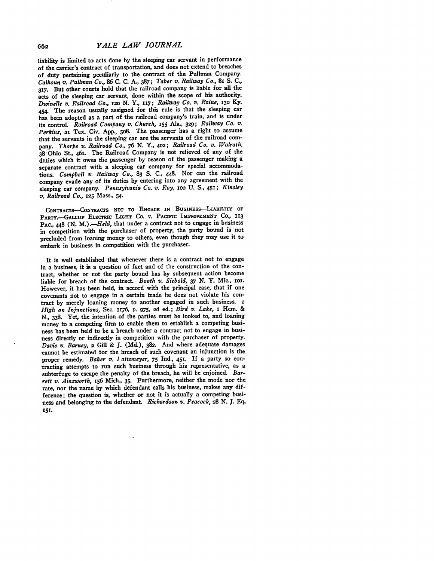liability is limited to acts done **by** the sleeping car servant in performance of the carrier's contract of transportation, and does not extend to breaches of duty pertaining peculiarly to the contract of the Pullman Company. *Calhoun v. Pullman Co.,* **86 C. C.** *A.,* **387;** *Taber v. Railway Co.,* 81 **S. C., 317.** But other courts hold that the railroad company is liable for all the acts of the sleeping car servant, done within the scope of his authority. *Dwinelle v. Railroad Co., i2o* **N. Y.,** *117; Railway Co. v. Raine,* **13o Ky.** 454. The reason usually assigned for this rule is that the sleeping car has been adopted as a part of the railroad company's train, and is under its control. *Railroad Company v. Church,* **155** Ala., **329;** *Railway Co. v. Perkins,* **21** Tex. Civ. **App.,** 5o8. The passenger has a right to assume that the servants in the sleeping car are the servants of the railroad company. *Thorpe v. Railroad Co., 76* **N.** Y., **4o2;** *Railroad Co. v. Walrath,* **<sup>38</sup>**Ohio St., 461. The Railroad Company is not relieved of any of the duties which it owes the passenger **by** reason of the passenger making a separate contract with a sleeping car company for special accommodations. *Campbell v. Railway Co.,* **83 S. C., 448.** Nor can the railroad company evade any of its duties **by** entering into any agreement with the sleeping car company. *Pennsylvania Co. v. Roy,* **1o2 U. S., 451;** *Kinsley v. Railroad Co.,* **125** Mass., 54.

CONTRACTS-CONTRACTS NOT TO ENGAGE IN BUSINESS-LIABILITY OF PARTY.-GALLUP ELECTRIC LIGHT **Co.** v. **PACIFIC** IMPROVEMENT **CO., 113** PAC., 448 (N. M.).-*Held*, that under a contract not to engage in business in competition with the purchaser of property, the party bound is not precluded from loaning money to others, even though they may use it to embark in business in competition with the purchaser.

It is well established that whenever there is a contract not to engage in a business, it is a question of fact and of the construction of the contract, whether or not the party bound has **by** subsequent action become liable for breach of the contract. *Booth v. Siebold, 37* **N.** Y. Mic., ior. However, it has been held, in accord with the principal case, that if one **covenants not to engage in** a certain trade he does not violate his contract **by** merely loaning money to another engaged in such business. **2** *High on Injunctions,* Sec. **1176, p. 975, 2d** ed.; *Bird v. Lake,* **I** Hem. & **N., 338.** Yet, the intention of the parties must be looked to, and loaning money to a competing firm to enable them to establish a competing business has been held to be a breach under a contract not to engage in business directly or indirectly in competition with the purchaser of property. *Davis v. Barney,* **2** Gill & **J. (Md.), 382.** And where adequate damages cannot be estimated for the breach of such covenant an injunction is the proper remedy. *Baker v. I ottsmeyer, 75* Ind., **451.** If a party so contracting attempts to run such business through his representative, as a subterfuge to escape the penalty of the breach, he will be enjoined. *Barrett v. Ainsworth,* **x56** Mich., **35.** Furthermore, neither the mode nor the rate, nor the name **by** which defendant calls his business, makes any difference; the question is, whether or not it is actually a competing business and belonging to the defendant. *Richardson v. Peacock, 28* **N. J. Eq, Z57.**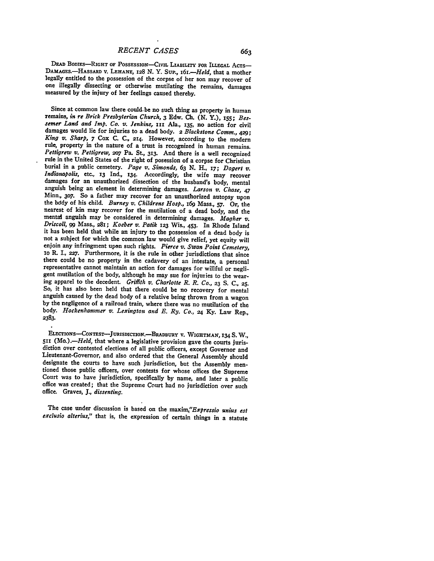DEAD BODIES-RIGHT OF POSSESSION-CIVIL LIABILITY FOR ILLEGAL ACTS-DAMAGEs.-HASSARD v. **LEHANE, 128 N.** Y. Sup., *I6r.-Held,* that a mother legally entitled to the possession of the corpse of her son may recover of one illegally dissecting or otherwise mutilating the remains, damages measured **by** the injury of her feelings caused thereby.

Since at common law there could-be no such thing as property in human remains, *in re Brick Presbyterian Church,* **3** Edw. **Ch. (N. Y.),** *i55; Bessemer Land and Imp. Co. v. Jenkins, ini* Ala., **135,** no action for civil damages would lie for injuries to a dead body. 2 *Blackstone Comm., 429; King v. Sharp, 7* Cox **C. C., 214.** However, according to the modern rule, property in the nature of a trust is recognized in human remains.<br>Pettigrew v. Pettigrew, 207 Pa. St., 313. And there is a well recognized rule in the United States of the right of posession of a corpse for Christian burial in a public cemetery. *Page v. Simonds,* **63 N.** H., **17;** *Dogert v. Indianapolis,* etc., **13 Ind., 134.** Accordingly, **the** wife may recover damages for an unauthorized dissection of the husband's body, mental anguish being an element in determining damages. *Larson v. Chase, 47* Minn., **3o7.** So a father may recover for an unauthorized autopsy upon the **bddy** of his child. *Burney v. Childrens Hosp., i69* Mass., *57.* Or, the nearest of kin may recover for the mutilation of a dead body, and the mentai anguish may be considered in determining damages. *Magher v. Driscoll, 99* Mass., 281; *Koeber v. Patik* **123** Wis., 453. In Rhode Island it has been held that while an injury to the possession of a dead body is not a subject for which the common law would give relief, yet equity will enjoin any infringment upon such rights. Pierce v. Swan Point Cemetery, 10 R. I., 227. Furthermore, it is the rule in other jurisdictions that since there could be no property in the cadavery of an intestate, a personal representative cannot maintain an action for damages for willful or negligent mutilation of the body, although he may sue for injuries to the wearing apparel to the decedent. *Griflith v. Charlotte R. R. Co.,* **23** *S.* **C., 25.** So, it has also been held that there could be no recovery for mental by the negligence of a railroad train, where there was no mutilation of the body. *Hockenhammer v. Lexington and E. Ry. Co., 24* **Ky.** Law Rep., **2383.**

ELECTIONS--CONTEST-JURISDICION.-BRADBURY **V. WIGHTMAN, r34 S.** W., *<sup>511</sup>(Mo.).-Held,* that where a legislative provision gave the courts juris- diction over contested elections of all public officers, except Governor and Lieutenant-Governor, and also ordered that the General Assembly should designate the courts to have such jurisdiction, but the Assembly mentioned those public officers, over contests for whose offices the Supreme Court was to have jurisdiction, specifically by name, and later a public<br>office was created; that the Supreme Court had no jurisdiction over such office. Graves, *J., dissenting.*

The case under discussion is based on the *maxim,"Expressio unius est exclusio alterius,"* that is, the expression of certain things in a statute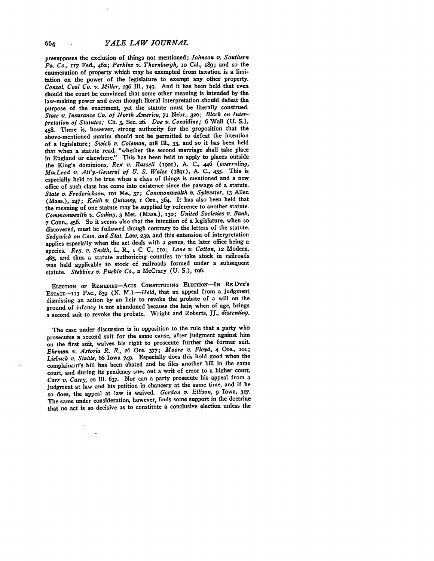*YALE LAW JOURNAL*

presupposes the exclusion of things not mentioned; *Johnson v. Southern Pa. Co.,* **117** Fed., 462; *Perkins v. Thornburgh,* io Cal., **x89;** and so the enumeration of property which may be exempted from taxation is a limitation on the power of the legislature to exempt any other property. *Consol. Coal Co. v. Miller,* **236 Ill., 149.** And it has been held that even should the court be convinced that some other meaning is intended **by** the law-making power and even though literal interpretation should defeat the purpose of the enactment, yet the statute must be literally construed. *State v. Insurance Co. of North America,* **71** Nebr., **32o;** *Black on Interpretation of Statutes; Ch.* **3,** Sec. **26.** *Doe v. Considine;* **6** Wall **(U. S.), 458.** There is, however, strong authority for the proposition that the above-mentioned maxim should not be permitted to defeat the intention of a legislature; *Swick v. Coleman,* **218 Ill., 33,** and so it has been held that when a statute read, "whether the second marriage shall take place in England or elsewhere." This has been held to apply to places outside the King's dominions, *Rex v. Russell* (igoi), **A. C., 446** *(overruling, MacLeod v. Att'y.-General of U. S. Wales* (i89x), **A. C.,** 455. This is especially held to be true when a class of things is mentioned and a new office of such class has come into existence since the passage of a statute. *State v. Frederickson,* ior Me., **37;** *Commonwealth v. Sylvester,* **13** Allen (Mass.), **247;** *Keith v. Quinney, I* Ore., 364. It has also been held that the meaning of one statute may be supplied **by** reference to another statute. *Commonwealth v. Goding,* **3** Met. (Mass.), **13o;** *United Societies v. Bank,* **<sup>7</sup>**Conn., 456. So it seems also that the intention of a legislature, when so discovered, must be followed though contrary to the letters of the statute. *Sedgwick on* Com. *and Stat. Law,* **232,** and this extension of interpretation applies especially when the act deals with a genus, the later office being a species. *Reg. v. Smith,* L. R., I **C. C.,** rio; *Lane v. Cotton,* **12 Modern,** 485, and thus a statute authorizing counties **to\*** take stock in railroads was held applicable to stock of railroads formed under a subsequent statute. *Stebbins v. Pueblo Co.,* **2** McCrary **(U. S.),** 196.

**ELECTION OF REmEIs-AcTs CONSTITUTING ELECTION-IN RE DYE'S EsTATE-113 PAC., 839 (N.** *M.).-Held,* that an appeal from a judgment dismissing an action **by** an heir to revoke the probate of a will on the ground of infancy is not abandoned because the heir, when of age, brings a second suit to revoke the probate. Wright and Roberts, **JJ.,** *dissenting.*

The case under discussion is in opposition to the rule that a party who prosecutes a second suit for the same cause, after judgment against him on the first suit, waives his right to prosecute further the former suit. *Ehrman v. Astoria R. R.,* **26** Ore. **377;** *Moore v. Floyd,* 4 Ore., **ioI;** *Liebuck v. Stahle,* 66 Iowa 749. Especially does this hold good when the complainant's bill has been abated and he files another bill in the same court, and during its pendency sues out a writ of error to a higher court. *Carr v. Casey, 2o* **Ill. 637.** Nor can a party prosecute his appeal from a judgment at law and his petition in chancery at the same time, and if he so does, the appeal at law is waived. *Gordon v. Ellison,* **9** Iowa, **317.** The same under consideration, however, finds some support in the doctrine that no act is so decisive as to constitute a conclusive election unless the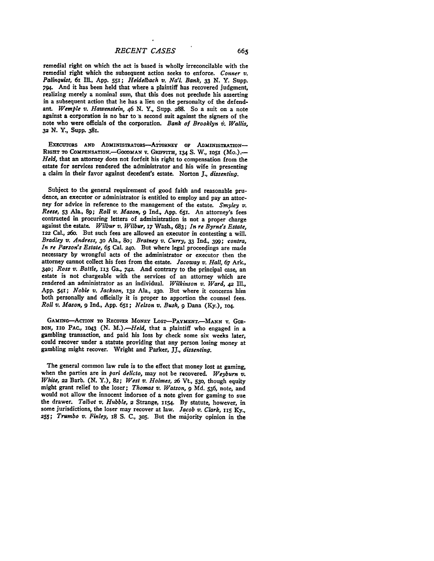remedial right on which the act is based is wholly irreconcilable with the remedial right which the subsequent action seeks to enforce. Conner  $v$ . remedial right which the subsequent action seeks to enforce. Conner *v. Palinquist,* **6z** Ill., **App. 551;** *Heidelbach v. Na'l Bank,* **33 N.** Y. Supp. 794. And it has been held that where a plaintiff has recovered judgment, realizing merely a nominal sum, that this does not preclude his asserting in a subsequent action that he has a lien on the personalty of the defendant. *Wemple v. Hawenstein, 46 N.Y.*, Supp. 288. So a suit on a note against a corporation is no bar to a second suit against the signers of the note who were officials of the corporation. *Bank of Brooklyn h. Wallis,* **32 N.** Y., Supp. **381.**

EXECUTORS AND ADMINISTRATORS-ATTORNEY OF ADMINISTRATION-RIGHT TO COMPENSATION.-GOODMAN V. GRIFFITH, 134 S. W., 1051 (Mo.).-*Held,* that an attorney does not forfeit his right to compensation from the estate for services rendered the administrator and his wife in presenting a claim in their favor against decedent's estate. Norton **J.,** *dissenting.*

Subject to the general requirement of good faith and reasonable prudence, an executor or administrator is entitled to employ and pay an attorney for advice in reference to the management of the estate. *Smyley v. Reese,* **53** Ala., **89;** *Roll v. Mason, 9* **Ind., App.** 65r. An attorney's fees contracted in procuring letters of administration is not a proper charge against the estate. *Wilbur v. Wilbur, x7* Wash., **683;** *In re Byrne's Estate,* **122** Cal., 260. But such fees are allowed an executor in contesting a will. *Bradley v. Andress,* **30** Ala., 8o; *Bratney v. Curry,* **33 Ind.,** 399; *contra, In re Parson's Estate, 65* Cal. 24o. But where legal proceedings are made necessary **by** wrongful acts of the administrator or executor then the attorney cannot collect his fees from the estate. *Jacoway v. Hall,* **67 Ark.,** *340; Ross v. Battle,* **113** Ga., **742.** And contrary to the principal case, an estate is not chargeable with the services of an attorney which are rendered .an administrator as an individual. *Wilkinson v. Ward, 42* Ill., **App.** 541; *Noble v. Jackson,* **132** Ala., **230.** But where it concerns him both personally and officially it is proper to apportion the counsel fees. *Roll v. Mason, 9* Ind., **App.** 651; *Nelson v. Bush,* **9** Dana **(Ky.), 1o4.**

GAMING-ACTION TO RECOVER MONEY LOST-PAYMENT.-MANN V. GOR-**DON, no** PAc., **1043 (N.** *M.).-Held,* that a plaintiff who engaged in a gambling transaction, and paid his loss **by** check some six weeks later, could recover under a statute providing that any person losing money at gambling might recover. Wright and Parker, **JJ.,** *dissenting.*

The general common law rule is to the effect that money lost at gaming, when the parties are in *pari delicto,* may not be recovered. *Weyburn v. White,* **22** Barb. **(N.** Y.), **82;** *West v. Holmes,* **26** Vt., **530,** though equity might grant relief to the loser; *Thomas v. Watson,* **9 Md. 536,** note, and would not allow the innocent indorsee of a note given for gaming to sue the drawer. *Talbot v. Hubble,* 2 Strange, 1154. **By** statute, however, in some jurisdictions, the loser may recover at law. *Jacob v. Clark,* riS **Ky.,** *255; Trumbo v. Finley,* **18 S. C., 305.** But the majority opinion in the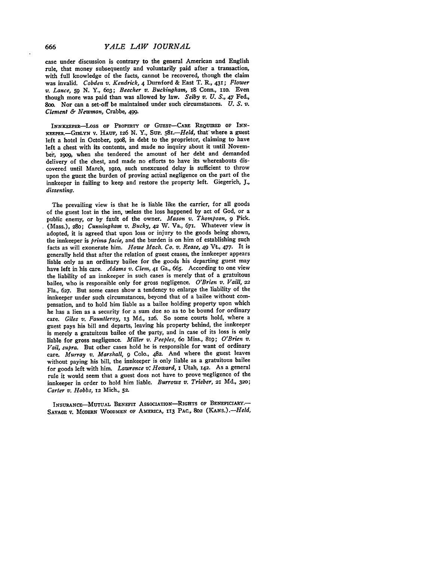case under discussion is contrary to the general American and English rule, that money subsequently and voluntarily paid after a transaction, with full knowledge of the facts, cannot be recovered, though the claim was invalid. *Cobden v. Kendrick,* 4 Durnford **&** East T. R., 431; *Flower v. Lance, 59 N.* Y., 6o3; *Beecher v. Buckingham,* 18 Conn., uio. Even though more was paid than was allowed **by** law. *Selby v. U. S., 47* Fed., 8oo. Nor can a set-off be maintained under such circumstances. *U. S. v. Clement & Newman,* Crabbe, 499.

INNKEEPER-LOSS OF PROPERTY OF GUEST-CARE REQUIRED OF INN-**KEEPER.-GImLYN** v. **HAUF, 126 N.** Y., **SUP.** *58.-Held,* that-where a guest left a hotel in October, i9o8, in debt to the proprietor, claiming to have left a chest with its contents, and made no inquiry about it until Novem**ber,** igog, when she tendered the amount of her debt and demanded delivery of the chest, and made no efforts to have its whereabouts discovered until March, i9io, such unexcused delay is sufficient to throw upon the guest the burden of proving actual negligence on the part of the innkeeper in failing to keep and restore the property left. Giegerich, **J.,** *dissenting.*

The prevailing view is that he is liable like the carrier, for all goods of the guest lost in the inn, unless the loss happened **by** act of God, or a public enemy, or **by** fault of the owner. *Mason v. Thompson, 9* Pick. (Mass.), **28o;** *Cunningham v. Bucky,* 42 W. Va., 671. Whatever view is adopted, it is agreed that upon loss or injury to the goods being shown, the innkeeper is *prima facie,* and the burden is on him of establishing such facts as will exonerate him. *Howe Mach. Co. v. Rease,* 49 Vt., **477.** It is generally held that after the relation of guest ceases, the innkeeper appears liable only as an ordinary bailee for the goods his departing guest may have left in his care. *Adams v. Clem,* 41 Ga., **665.** According to one view the liability of an innkeeper in such cases is merely that of a gratuitous bailee, who is responsible only for gross negligence. *O'Brien v. Vaill, 22* Fla., **627.** But some cases show a tendency to enlarge the liability of the innkeeper under such circumstances, beyond that of a bailee without compensation, and to hold him liable as a bailee holding property upon which he has a lien as a security for a sum due so as to be bound for ordinary care. *Giles v. Fauntleroy,* **13 Md., 126.** So some courts hold, where a guest pays his bill and departs, leaving his property behind, the innkeeper is merely a gratuitous bailee of the party, and in case of its loss is only liable for gross negligence. *Miller v. Peeples, 6o* Miss., 819; *O'Brien v. Vail, supra.* But other cases hold he is responsible for want of ordinary care. *Murray v. Marshall,* **9 Colo.,** 482. And where the guest leaves without paying his bill, the innkeeper is only liable as a gratuitous bailee for goods left with him. *Lawrence v: Howard,* I Utah, 142. As a general rule it would seem that a guest does not have to prove negligence of the innkeeper in order to hold him liable. *Burrows v. Trieber,* **21 Md., 320;** *Carter v. Hobbs,* **12** Mich., **52.**

**INSURANcE-MUTUAL BENEFIT ASSociATIoN-RIGHTS OF BENEFICIARY.- SAVAGE V. MODERN WOODMEN OF AMERICA, 113 PAC., 802** *(KANs.).-Held,*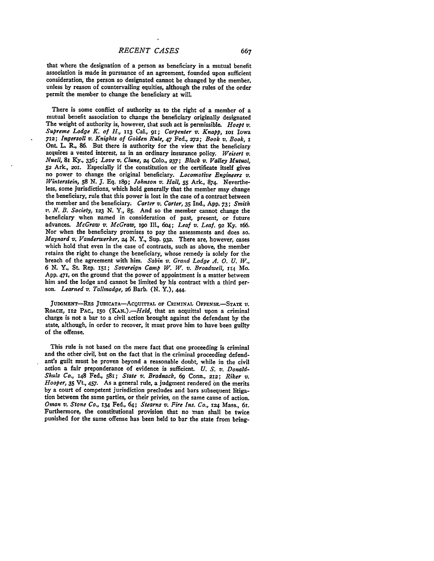that where the designation of a person as beneficiary in a mutual benefit association is made in pursuance of an agreement, founded upon sufficient consideration, the person so designated cannot be changed **by** the member, unless **by** reason of countervailing equities, although the rules of the order permit the member to change the beneficiary at will

There is some conflict of authority as to the right of a member of a mutual benefit association to change the beneficiary originally designated The weight of authority is, however, that such act is permissible. *Hoept v. Supreme Lodge K. of H.,* **113** Cal., **91;** *Carpenter v. Knapp,* roi Iowa *712; Ingersoll v. Knights of Golden Rule,* 47 Fed., **272;** *Book v. Book, i* Ont. **L** R., 86. But there is authority for the view that the beneficiary acquires a vested interest, as in an ordinary insurance policy. *Weisert v. Nuell,* 81 **Ky., 336;** *Love v. Clune, 24* **Colo., 237;** *Black v. Valley Mutual,* no power to change the original beneficiary. *Locomotive Engineers v. Winterstein, 58* N. **J. Eq.** i89; *Johnson v. Hall, 55* Ark., 874. Nevertheless, some jurisdictions, which hold generally that the member may change the beneficiary, rule that this power is lost in the case of a contract between the member and the beneficiary. *Carter v. Carter,* **35** Ind., **App.** *73; Smith v. N. B. Society, 123* **N.** Y., **85.** And so the member cannot change the beneficiary when named in consideration of past, present, or future advances. *McGraw v. McGraw*, 190 Ill., 604; *Leaf v. Leaf.* 92 Ky. 166. Nor when the beneficiary promises to pay the assessments and does so. Maynard v. Vanderwerker, 24 N. Y., Sup. 932. There are, however, cases which hold that even in the case of contracts, such as above, the member retains the right to change the beneficiary, whose remedy is solely for the breach of the agreement with him. *Sabin v. Grand Lodge A. 0. U. W., 6* **N.** Y., St. Rep. **151;** *Sovereign Camp W. W. v. Broadwell, 114* Mo. App. 47**I**, on the ground that the power of appointment is a matter between him and the lodge and cannot be limited by his contract with a third person. *Learned v. Tallmadge,* **26** Barb. (N. Y.), **444.**

**JUDGmENT-REs JUDICATA-ACQUITTAL OF CRIMINAL OFFENSE-STATE** *V.* **ROACHr,** *112* **PAC.,** *15O (KAN.).-Held,* that an acquittal upon a criminal charge is not a bar to a civil action brought against the defendant by the state, although, in order to recover, it must prove him to have been guilty of the offense.

This rule is not based on the mere fact that one proceeding is criminal and the other civil, but on the fact that in the criminal proceeding defendant's guilt must be proven beyond a reasonable doubt, while in the civil action a fair preponderance of evidence is sufficient. *U. S. v. Donald-Shulz Co.,* 148 Fed., 581; *State v. Bradnack, 69* Conn., **212;** *Riker v'. Hooper, 35* Vt., 457. As a general rule, a judgment rendered on the merits **by** a court of competent jurisdiction precludes and bars subsequent litigation between the same parties, or their privies, on the same cause of action. *Oman v. Stone Co.,* **x34** Fed., 64; *Stearns v. Fire Ins. Co., 124* Mass., 61. Furthermore, the constitutional provision that no man shall be twice punished for the same offense has been held to bar the state from bring-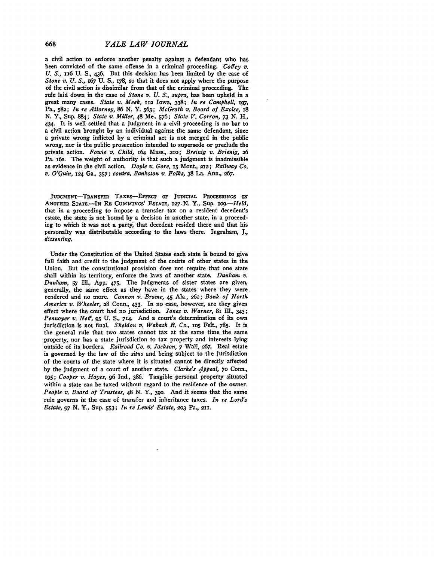a civil action to enforce another penalty against a defendant who has been convicted of the same offense in a criminal proceeding. *Coffey v. U. S.,* 1x6 **U. S.,** 436. But this decision has been limited **by** the case of *Stone v. U.* **S.,** 167 **U. S.,** 178, **so** that it does not apply where the purpose of the civil action is dissimilar from that of the criminal proceeding. The rule laid down in the case of *Stone v. U. S., supra,* has been upheld in a great many cases. *State v. Meek,* **112** Iowa, **338;** *In re Campbell, 197,* Pa., **582;** *In re Attorney, 86* **N.** Y. **563;** *McGrath v. Board of Excise, i8* **N.** Y., Sup. **884;** *State v. Miller,* 48 Me., **576;** *State V. Corron, 73* **N.** H., 434. It is well settled that a judgment in a civil proceeding is no bar to **a** civil action brought **by** an individual against the same defendant, since **a** private wrong inflicted **by** a criminal act is not merged in the public wrong, nor is the public prosecution intended to supersede or preclude the private action. *Fowle v. Child,* 164 Mass., **210;** *Breinig v. Brienig, 26* Pa. i61. The weight of authority is that such a judgment is inadmissible as evidence in the civil action. *Doyle v. Gore,* **15** Mont., **212;** *Railway Co.* **v.** *O'Quin, i24* Ga., **357;** *contra, Bankston v. Folks,* **38** La. Ann., **267.**

**JUDGMENT-TRANSFER** TAXES-FFECT **OF JUDICIAL PROCEEDINGS IN ANOTHER STATE.-IN** RE CummixGs' ESTATE, **127.N.** Y., Sup. *og.-Held,* that in a proceeding to impose a transfer tax on a resident decedent's estate, the state is not bound **by** a decision in another state, in a proceeding to which it was not a party, that decedent resided there and that his personalty was distributable according to the laws there. Ingraham, **J.,** *dissenting.*

Under the Constitution of the United States each state is bound to give full faith and credit to the judgment of the courts of other states in the Union. But the constitutional provision does not require that one state shall within its territory, enforce the laws of another state. *Dunham v. Dunham,* **57** Ill., App. 475. The judgments of sister states are given, generally, the same effect as they have in the states where they were rendered and no more. *Cannon v. Brame,* 45 Ala., **262;** *Bank of North America v. Wheeler,* **28** Conn., 433. In no case, however, are they given effect where the court had no jurisdiction. *Jones v. Warner,* 8i Ill., 343; *Pennoyer v. Neff, 95* **U.** *S.,* **714.** And a court's determination of its own jurisdiction is not final. *Sheldon v. Wabash R. Co.,* io5 Felt., **785.** It is the general rule that two states cannot tax at the same time the same property, nor has a state jurisdiction to tax property and interests lying outside of its borders. *Railroad Co. v. Jackson,* **7** Wall, 267. Real estate is governed **by** the law of the *situs* and being subject to the jurisdiction of the courts of the state where it is situated cannot be directly affected **by** the judgment of a court of another state. *Clarke's Appeal,* **70** Conn., **I95;** *Cooper v. Hayes, 96* Ind., **386.** Tangible personal property situated within a state can be taxed without regard to the residence of the owner. *People v. Board of Trustees,* 48 **N. Y., 39o.** And it seems that the same rule governs in the case of transfer and inheritance taxes. *In re Lord's Estate, 97* **N.** Y., Sup. **553;** *In re Lewis' Estate,* **203** Pa., **211.**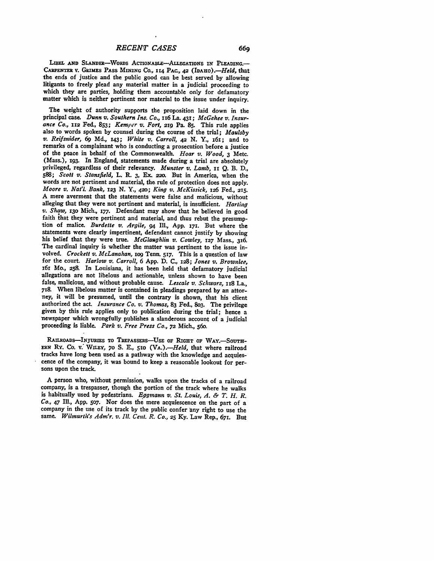LIBEL AND SLANDER-WORDS ACTIONABLE-ALLEGATIONS IN PLEADING. **CAR ENTEs** V. GRIMES PASS *MINING* **Co.,** 114 PAC., *42 (IDAHo).-Held,* that the ends of justice and the public good can be best served **by** allowing litigants to freely plead any material matter in a judicial proceeding to which they are parties, holding them accountable only for defamatory matter which is neither pertinent nor material to the issue under inquiry.

The weight of authority supports the proposition laid down in the principal case. *Dunn v. Southern Ins. Co.,* i6 La. 431; *McGehee v. Insurance Co.,* **112** Fed., **853;** *Kemper v. Fort,* **219** Pa. **85.** This rule applies also to words spoken **by** counsel during the course of the trial; *Maulsby v. Reifsnider,* **69 Md.,** x43; *White v. Carroll, 42* **N.** Y., 161; and to remarks of a complainant who is conducting a prosecution before a justice of the peace in behalf of the Commonwealth. *Hoar v. Wood, 3* Metc. (Mass.), **z93.** In England, statements made during a trial are absolutely privileged, regardless of their relevancy. *Munster v. Lamb,* Ii *Q.* B. **D., 588;** *Scott v. Stansfield,* L. R. **3,** Ex. **=2o.** But in America, when the words are not pertinent and material, the rule of protection does not apply. *Moore v. Nat'l. Bank, 123* **N.** Y., 42o; *King v. McKissick,* 126 Fed., **215. A** mere averment that the statements were false and malicious, without alleging that they were not pertinent and material, is insufficient. *Harting v. Shaw,* **130** Mich., **177.** Defendant may show that he believed in good faith that they were pertinent and material, and thus rebut the presumption of malice. *Burdette v. Argile, 94* **Ill., App.** 171. But where the statements were clearly impertinent, defendant cannot justify **by** showing his belief that they were true. *McGlaughlin v. Cowley,* **127** Mass., 36. The cardinal inquiry is whether the matter was pertinent to the issue involved. *Crockett v. McLanahan,* iog Tenn. **5r7.** This is a question of law for the court. *Harlow v. Carroll,* 6 **App. D. C., i28;** *Jones v. Brownlee,* **x6r** Mo., **258.** In Louisiana, it has been held that defamatory judicial allegations are not libelous and actionable, unless shown to have been false, malicious, and without probable cause. *Lescale v. Schwarz,* **1x8** La., **718.** When libelous matter is contained in pleadings prepared **by** an attorney, it will be presumed, until the contrary is shown, that his client authorized the act. *Insurance Co. v. Thomas,* **83** Fed., 8o3. The privilege given **by** this rule applies only to publication during the frial; hence a newspaper which wrongfully publishes a slanderous account of a judicial proceeding is liable. *Park v. Free Press Co., 72* Mich., 56o.

RAILROADS-INJURIES **TO TREPASSERS-USE OF RIGHT** OF WAY.-SOUTH-**ERN** Ry. Co. **v."** WiLrY, *7o* **S. E., 51o** *(VA.).-Held,* that where railroad tracks have long been used as a pathway with the knowledge and acquiescence of the company, it was bound to keep a reasonable lookout for persons upon the track.

A person who, without permission, walks upon the tracks of a railroad company, is a trespasser, though the portion of the track where he walks is habitually used **by** pedestrians. *Eggmann v. St. Louis, A. & T. H. R. Co.,* 47 **Ill., App. 5o7.** Nor does the mere acquiescence on the part of a company in the use of its track by the public confer any right to use the same. *Wilmurth's Adm'r. v. Ill. Cent. R. Co.,* **25 Ky.** Law Rep., 67r. But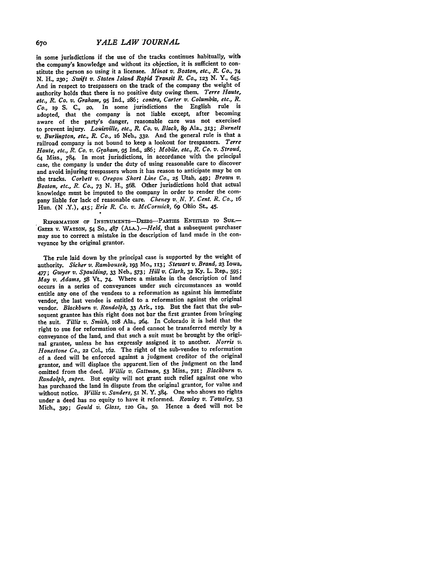in some jurisdictions if the use of the tracks continues habitually, with the company's knowledge and without its objection, it is sufficient to constitute the person so using it a licensee. *Minot v. Boston, etc., R. Co., 74* **N.** H., 23o; *Swift v. Staten Island Rapid Transit R. Co., 123* **N.** Y., 645. And in respect to trespassers on the track of the company the weight of authority holds that there is no positive duty owing them. *Terre Haute, etc., R. Co. v. Graham, 95* **Ind., 286;** *contra, Carter v. Columbfa, etc., R. Co.,* 19 **S.** C., 20. In some jurisdictions the English rule is adopted, that the company is not liable except, after becoming aware of the party's danger, reasonable care was not exercised to prevent injury. *Louisville, etc., R. Co. v. Black, 89* Ala., 313; *Burnett v. Burlington, etc., R. Co.,* x6 Neb., **332.** And the general rule is that a railroad company is not bound to keep a lookout for trespassers. *Terre Haute, etc., R. Co. v. Graham, 95* Ind., *286; Mobile, etc., R. Co. v. Stroud,* 64 Miss., 784. In most jurisdictions, in accordance with the principal case, the company is under the duty of using reasonable care to discover and avoid injuring trespassers whom it has reason to anticipate may be on the tracks. *Corbett v. Oregon Short Line Co.,* **25** Utah, **449;** *Brown v. Boston, etc., R. Co., 73* **N.** H., **568.** Other jurisdictions hold that actual knowledge must be imputed to the company in order to render the company liable for lack of reasonable care. *Cheney v. N. Y. Cent. R. Co., i6* Hun. (N *.Y.), 415; Erie R. Co. v. McCormick,* **69** Ohio St., 45.

REFORMATION OF INSTRUMENTs-DEEDs-PARTIES ENTITLED TO **SUE.-** GREER v. **WATSON, 54 So., 487** (ALA.) *.- Held,* that a subsequent purchaser may sue to correct a mistake in the description of land made in the conveyance **by** the original grantor.

The rule laid down by the principal case is supported by the weight of authority. *Sicher v. Rambousek, 193* Mo., *113; Stewart v. Brand,* **23** Iowa, *477; Gwyer v. Spaulding,* **33** Neb., **573;** *Hill v. Clark,* **32 Ky.** L. Rep., **595;** *May v. Adams,* **58** Vt., 74. Where a mistake in the description of land occurs in a series of conveyances under such circumstances as would entitle any one of the vendees to a reformation as against his immediate vendor, the last vendee is entitled to a reformation against the original vendor. *Blackburn v. Randolph,* **33** Ark., xig. But the fact that the subsequent grantee has this right does not bar the first grantee from bringing the suit. *Tillis v. Smith,* **io8** Ala., **264.** In Colorado it is held that the right to sue for reformation of a deed cannot be transferred merely **by** <sup>a</sup> conveyance of the land, and that such a suit must be brought **by** the original grantee, unless he has expressly assigned it to another. *Norris v.* Honestone Co., 22 Col., 162. The right of the sub-vendee to reformation of a deed will be enforced against a judgment creditor of the original grantor, and will displace the apparent. lien of the judgment on the land omitted from the deed. *Willis v. Gattman,* **53** Miss., **721;** *Blackburn v. Randolph, supra.* But equity will not grant such relief against one who has purchased the land in dispute from the original grantor, for value and without notice. *Willis v. Sanders,* **51 N.** Y. 384. One who shows no rights under a deed has no equity to have it reformed. *Rowley v. Towsley, <sup>53</sup>* Mich., **329;** *Gould V. Glass, 12o* Ga., **5o.** Hence a deed will not be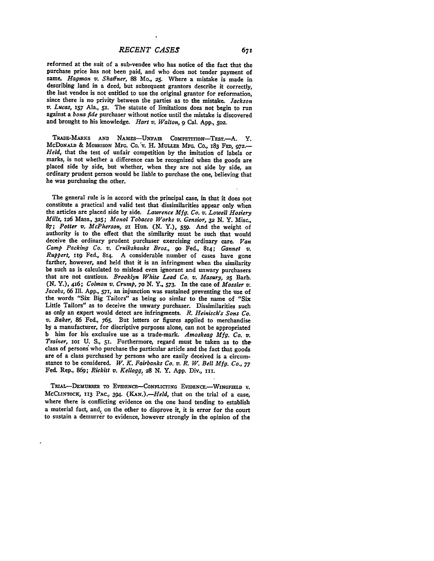reformed at the suit of a sub-vendee who has notice of the fact that the purchase price has not been paid, and who does not tender payment of same. *Hagman v.* Shaffner, **88** Mo., **25.** Where a mistake is made in describing land in a deed, but subsequent grantors describe it correctly, the last vendee is not entitled to use the original grantor for reformation, since there is no privity between the parties as to the mistake. Jackson v. Lucas, 157 Ala., 51. The statute of limitations does not begin to run against a bona fide purchaser without notice until the mistake is discovered and brought to his knowledge. *Hart v. Walton, 9* Cal. **App., 5o2.**

TRADE-MARxs **AND** NAmEs-UNFAiR COmPETTIoN-TEsT.-A. Y. McDoNALD & MORRISON MFG. Co. v. H. MULLER MFG. Co., 183 FED, 972.—<br>Held, that the test of unfair competition by the imitation of labels or marks, is not whether a difference can be recognized when the goods are placed side by side, but whether, when they are not side by side, an ordinary prudent person would be liable to purchase the one, believing that he was purchasing the other.

The general rule is in accord with the principal case, in that it does not constitute a practical and valid test that dissimilarities appear only when the articles are placed side **by** side. *Lawrence Mfg. Co. v. Lowell Hosiery Mills, x26* Mass., **325;** *Monol Tobacco Works v. Gensior, 32* N. Y. Misc., *87; Potter v. McPherson,* **21** Hun. **(N. Y.), 559.** And the weight of authority is to the effect that the similarity must be such that would deceive the ordinary prudent purchaser exercising ordinary care. *Van* Camp Packing Co. v. Cruikshanks Bros., 90 Fed., 814; Gannet v. *Ruppert*, 119 Fed., 814. A considerable number of cases have gone farther, however, and held that it is an infringment when the similarity be such as is calculated to mislead even ignorant and unwary purchasers that are not cautious. *Brooklyn White Lead Co. v. Masury,* **25** Barb. **(N. Y.),** 416; *Colman v. Crump, 7o* **N.** *Y.,* **573.** In the case of *Mossler v. Jacobs,* **66 Ill. App.,** 57r, an injunction was sustained preventing the use of the words "Six Big Tailors" as being so simlar to the name of "Six Little Tailors" as to deceive the unwary purchaser. Dissimilarities such as only an expert would detect are infringments. R. Heinisch's Sons Co. as only an expert would detect are infringments. *R. Heinisch's Sons Co. v. Baker,* **86** Fed., **765.** But letters or **figures** applied to merchandise by a manufacturer, for discriptive purposes alone, can not be appropriated **<sup>b</sup>**him for his exclusive use as a trade-mark. *Amoskeag Mfg. Co. v. Trainer, 1oi* **U. S.,** 51. Furthermore, regard must be taken as to the class of persons who purchase the particular article and the fact that goods are of a class purchased **by** persons who are easily deceived is a circumstance to be considered. *W. K. Fairbanks Co. v. R. W. Bell Mfg. Co., 77* Fed. Rep., **869;** *Rickitt v. Kellogg,* **28 N.** Y. **App.** Div., **ii.**

**TRIAL-DEMuRRER To EViDENCE-CONFLICTING EVIDENCE.-WINGFIELD** V. **MCCLINTOCK, 113 PAC.,** 394. *(KAN.).-Held,* that on the trial of a case, where there is conflicting evidence **on** the one hand tending to establish a material fact, and, on the other to disprove it, it is error for the court to sustain a demurrer to evidence, however strongly in the opinion of the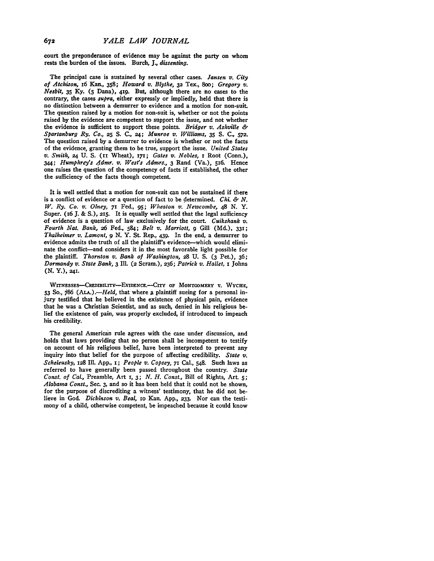court the preponderance of evidence may be against the party on whom rests the burden of the issues. Burch, *J., dissenting.*

The principal case is sustained **by** several other cases. *Jansen v. City of Atchison,* x6 Kan., **358;** *Howard v. Blythe,* **32** Tex., **8oo;** *Gregory v. Nesbit,* **35** Ky. **(5** Dana), **419.** But, although there are no cases to the contrary, the cases *supra,* either expressly or impliedly, held that there is no distinction between a demurrer to evidence and a motion for non-suit. The question raised **by** a motion for non-suit is, whether or not the points raised **by** the evidence are competent to support the issue, and not whether the evidence is sufficient to support these points. *Bridger v. Ashville & Spartanburg Ry. Co.,* **25 S. C., 24;** *Munroe v. Williams,* **35 S. C.,** *572.* The question raised **by** a demurrer to evidence is whether or not the facts of the evidence, granting them to be true, support the issue. *United States v. Smith,* **24 U. S. (xi** Wheat), 171; *Gates v. Nobles, 1* Root (Conn.), *344; Humphrey's Admr. v. West's Admrs.,* 3 Rand (Va.), **516.** Hence one raises the question of the competency of facts if established, the other the sufficiency of the facts though competent.

It is well settled that a motion for non-suit can not be sustained if there is a conflict of evidence or a question of fact to be determined. *Chi. & N. W. Ry. Co. v. Olney,* **71** Fed., **95;** *Wheaton v. Newcombe, 48* **N.** Y. Super. (16 **J.** & **S.), 215.** It is equally well settled that the legal sufficiency of evidence is a question of law exclusively for the court. *Cuikshank v. Fourth Nat. Bank,* **26** Fed., 584; *Belt v. Marriott, 9* Gill **(Md.), 331;** *Thalheimer v. Lamont, 9* **N.** Y. St. Rep., 439. In the end, a demurrer to evidence admits the truth of all the plaintiff's evidence-which would eliminate the conflict-and considers it in the most favorable light possible for the plaintiff. *Thornton v. Bank of Washington,* **28 U. S. (3** Pet.), **36;** *Dormandy v. State Bank,* 3 Ill. **(2** Scram.), 236; *Patrick v. Hallet,* **i** Johns **(N.** Y.), **241.**

**WITNESSES-CREDIDILITY-EvIDENCE.--CITY OF MONTGOMERY V. WYCHE, 53** So., **86** *(ALA.).-Held,* that where a plaintiff sueing for a personal injury tesified that he believed in the existence of physical pain, evidence that he was a Christian Scientist, and as such, denied in his religious belief the existence of pain, was properly excluded, if introduced to impeach his credibility.

The general American rule agrees with the case under discussion, and holds that laws providing that no person shall be incompetent to testify on account of his religious belief, have been interpreted to prevent any inquiry into that belief for the purpose of affecting credibility. *State v. Scheleusky,* 128 Ill. **App.,** i; *People v. Copsey, 71* Cal., 548. Such laws as referred to have generally been passed throughout the country. *State Const. of Cal.,* Preamble, Art **1,** *3; N. H. Const.,* Bill of Rights, Art. **5;** *Alabama Const.,* Sec. 3, and so it has been held that it could not be shown, for the purpose of discrediting a witness' testimony, that he did not believe in God. *Dickinson v. Beal,* ro Kan. **App., 233.** Nor can the testimony of a child, otherwise competent, be impeached because it could know